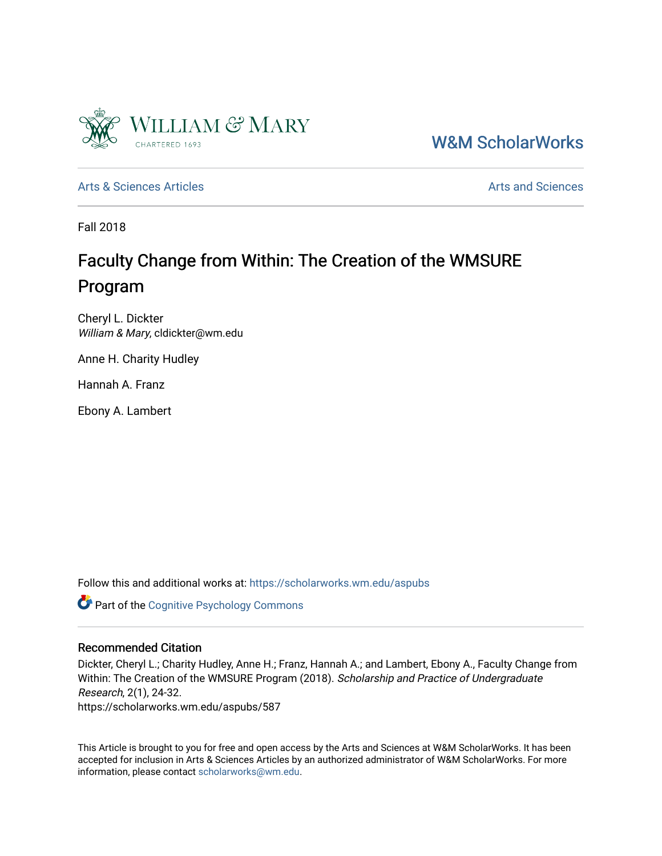

[W&M ScholarWorks](https://scholarworks.wm.edu/) 

[Arts & Sciences Articles](https://scholarworks.wm.edu/aspubs) **Articles** [Arts and Sciences](https://scholarworks.wm.edu/as) Arts and Sciences

Fall 2018

# Faculty Change from Within: The Creation of the WMSURE Program

Cheryl L. Dickter William & Mary, cldickter@wm.edu

Anne H. Charity Hudley

Hannah A. Franz

Ebony A. Lambert

Follow this and additional works at: [https://scholarworks.wm.edu/aspubs](https://scholarworks.wm.edu/aspubs?utm_source=scholarworks.wm.edu%2Faspubs%2F587&utm_medium=PDF&utm_campaign=PDFCoverPages) 

Part of the [Cognitive Psychology Commons](http://network.bepress.com/hgg/discipline/408?utm_source=scholarworks.wm.edu%2Faspubs%2F587&utm_medium=PDF&utm_campaign=PDFCoverPages) 

## Recommended Citation

Dickter, Cheryl L.; Charity Hudley, Anne H.; Franz, Hannah A.; and Lambert, Ebony A., Faculty Change from Within: The Creation of the WMSURE Program (2018). Scholarship and Practice of Undergraduate Research, 2(1), 24-32. https://scholarworks.wm.edu/aspubs/587

This Article is brought to you for free and open access by the Arts and Sciences at W&M ScholarWorks. It has been accepted for inclusion in Arts & Sciences Articles by an authorized administrator of W&M ScholarWorks. For more information, please contact [scholarworks@wm.edu](mailto:scholarworks@wm.edu).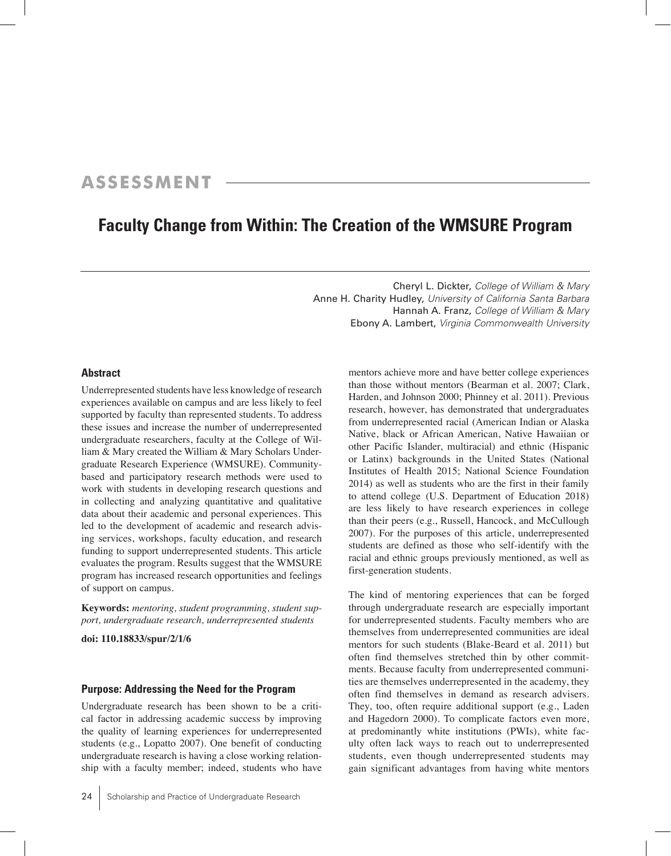# **ASSESSMENT**

# **Faculty Change from Within: The Creation of the WMSURE Program**

Cheryl L. Dickter, *College of William & Mary* Anne H. Charity Hudley, *University of California Santa Barbara* Hannah A. Franz, *College of William & Mary* Ebony A. Lambert, *Virginia Commonwealth University*

#### **Abstract**

Underrepresented students have less knowledge of research experiences available on campus and are less likely to feel supported by faculty than represented students. To address these issues and increase the number of underrepresented undergraduate researchers, faculty at the College of William & Mary created the William & Mary Scholars Undergraduate Research Experience (WMSURE). Communitybased and participatory research methods were used to work with students in developing research questions and in collecting and analyzing quantitative and qualitative data about their academic and personal experiences. This led to the development of academic and research advising services, workshops, faculty education, and research funding to support underrepresented students. This article evaluates the program. Results suggest that the WMSURE program has increased research opportunities and feelings of support on campus.

**Keywords:** *mentoring, student programming, student support, undergraduate research, underrepresented students*

**doi: 110.18833/spur/2/1/6**

### **Purpose: Addressing the Need for the Program**

Undergraduate research has been shown to be a critical factor in addressing academic success by improving the quality of learning experiences for underrepresented students (e.g., Lopatto 2007). One benefit of conducting undergraduate research is having a close working relationship with a faculty member; indeed, students who have

mentors achieve more and have better college experiences than those without mentors (Bearman et al. 2007; Clark, Harden, and Johnson 2000; Phinney et al. 2011). Previous research, however, has demonstrated that undergraduates from underrepresented racial (American Indian or Alaska Native, black or African American, Native Hawaiian or other Pacific Islander, multiracial) and ethnic (Hispanic or Latinx) backgrounds in the United States (National Institutes of Health 2015; National Science Foundation 2014) as well as students who are the first in their family to attend college (U.S. Department of Education 2018) are less likely to have research experiences in college than their peers (e.g., Russell, Hancock, and McCullough 2007). For the purposes of this article, underrepresented students are defined as those who self-identify with the racial and ethnic groups previously mentioned, as well as first-generation students.

The kind of mentoring experiences that can be forged through undergraduate research are especially important for underrepresented students. Faculty members who are themselves from underrepresented communities are ideal mentors for such students (Blake-Beard et al. 2011) but often find themselves stretched thin by other commitments. Because faculty from underrepresented communities are themselves underrepresented in the academy, they often find themselves in demand as research advisers. They, too, often require additional support (e.g., Laden and Hagedorn 2000). To complicate factors even more, at predominantly white institutions (PWIs), white faculty often lack ways to reach out to underrepresented students, even though underrepresented students may gain significant advantages from having white mentors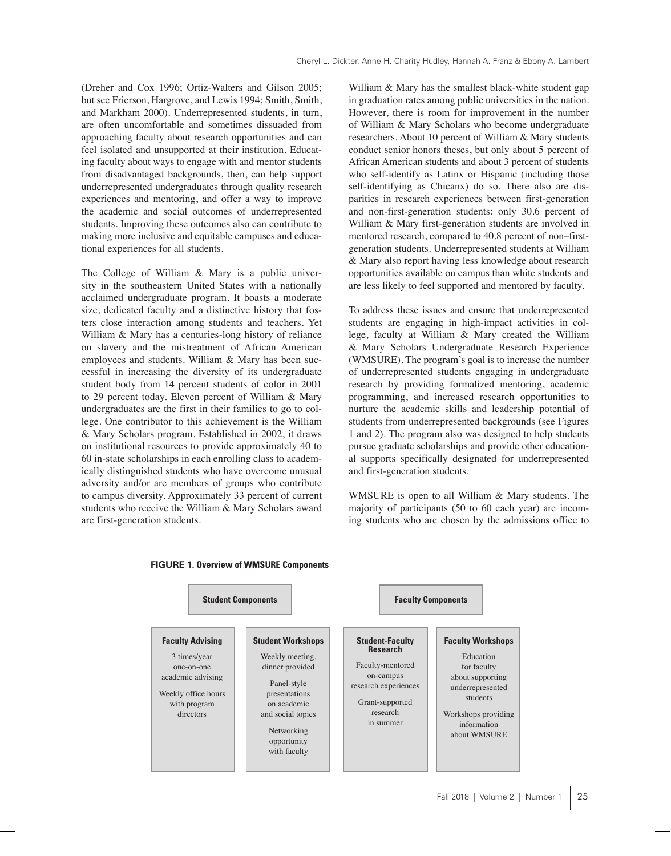(Dreher and Cox 1996; Ortiz-Walters and Gilson 2005; but see Frierson, Hargrove, and Lewis 1994; Smith, Smith, and Markham 2000). Underrepresented students, in turn, are often uncomfortable and sometimes dissuaded from approaching faculty about research opportunities and can feel isolated and unsupported at their institution. Educating faculty about ways to engage with and mentor students from disadvantaged backgrounds, then, can help support underrepresented undergraduates through quality research experiences and mentoring, and offer a way to improve the academic and social outcomes of underrepresented students. Improving these outcomes also can contribute to making more inclusive and equitable campuses and educational experiences for all students.

The College of William & Mary is a public university in the southeastern United States with a nationally acclaimed undergraduate program. It boasts a moderate size, dedicated faculty and a distinctive history that fosters close interaction among students and teachers. Yet William & Mary has a centuries-long history of reliance on slavery and the mistreatment of African American employees and students. William & Mary has been successful in increasing the diversity of its undergraduate student body from 14 percent students of color in 2001 to 29 percent today. Eleven percent of William & Mary undergraduates are the first in their families to go to college. One contributor to this achievement is the William & Mary Scholars program. Established in 2002, it draws on institutional resources to provide approximately 40 to 60 in-state scholarships in each enrolling class to academically distinguished students who have overcome unusual adversity and/or are members of groups who contribute to campus diversity. Approximately 33 percent of current students who receive the William & Mary Scholars award are first-generation students.

William & Mary has the smallest black-white student gap in graduation rates among public universities in the nation. However, there is room for improvement in the number of William & Mary Scholars who become undergraduate researchers. About 10 percent of William & Mary students conduct senior honors theses, but only about 5 percent of African American students and about 3 percent of students who self-identify as Latinx or Hispanic (including those self-identifying as Chicanx) do so. There also are disparities in research experiences between first-generation and non-first-generation students: only 30.6 percent of William & Mary first-generation students are involved in mentored research, compared to 40.8 percent of non–firstgeneration students. Underrepresented students at William & Mary also report having less knowledge about research opportunities available on campus than white students and are less likely to feel supported and mentored by faculty.

To address these issues and ensure that underrepresented students are engaging in high-impact activities in college, faculty at William & Mary created the William & Mary Scholars Undergraduate Research Experience (WMSURE). The program's goal is to increase the number of underrepresented students engaging in undergraduate research by providing formalized mentoring, academic programming, and increased research opportunities to nurture the academic skills and leadership potential of students from underrepresented backgrounds (see Figures 1 and 2). The program also was designed to help students pursue graduate scholarships and provide other educational supports specifically designated for underrepresented and first-generation students.

WMSURE is open to all William & Mary students. The majority of participants (50 to 60 each year) are incoming students who are chosen by the admissions office to



#### **Figure 1. Overview of WMSURE Components**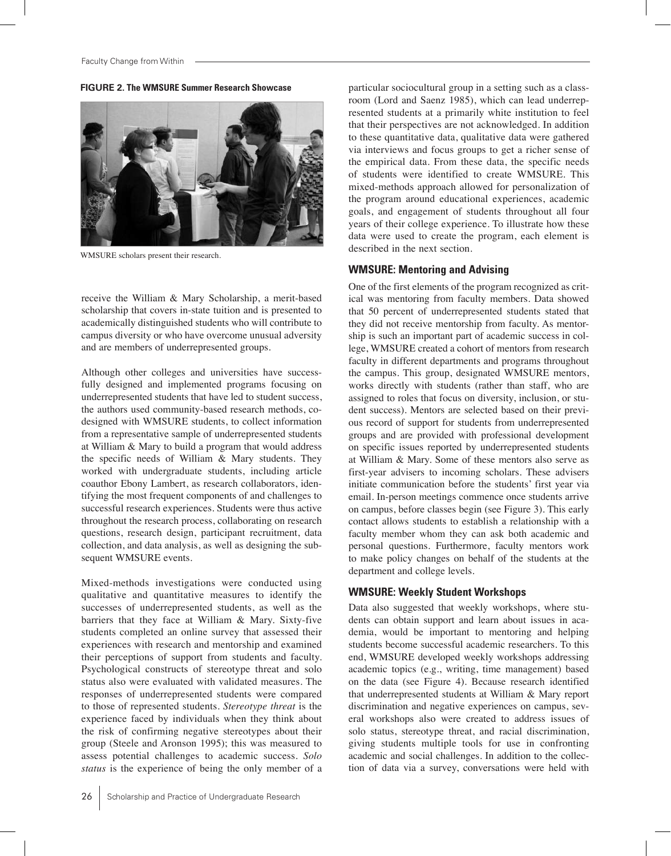**Figure 2. The WMSURE Summer Research Showcase**



WMSURE scholars present their research.

receive the William & Mary Scholarship, a merit-based scholarship that covers in-state tuition and is presented to academically distinguished students who will contribute to campus diversity or who have overcome unusual adversity and are members of underrepresented groups.

Although other colleges and universities have successfully designed and implemented programs focusing on underrepresented students that have led to student success, the authors used community-based research methods, codesigned with WMSURE students, to collect information from a representative sample of underrepresented students at William & Mary to build a program that would address the specific needs of William & Mary students. They worked with undergraduate students, including article coauthor Ebony Lambert, as research collaborators, identifying the most frequent components of and challenges to successful research experiences. Students were thus active throughout the research process, collaborating on research questions, research design, participant recruitment, data collection, and data analysis, as well as designing the subsequent WMSURE events.

Mixed-methods investigations were conducted using qualitative and quantitative measures to identify the successes of underrepresented students, as well as the barriers that they face at William & Mary. Sixty-five students completed an online survey that assessed their experiences with research and mentorship and examined their perceptions of support from students and faculty. Psychological constructs of stereotype threat and solo status also were evaluated with validated measures. The responses of underrepresented students were compared to those of represented students. *Stereotype threat* is the experience faced by individuals when they think about the risk of confirming negative stereotypes about their group (Steele and Aronson 1995); this was measured to assess potential challenges to academic success. *Solo status* is the experience of being the only member of a

particular sociocultural group in a setting such as a classroom (Lord and Saenz 1985), which can lead underrepresented students at a primarily white institution to feel that their perspectives are not acknowledged. In addition to these quantitative data, qualitative data were gathered via interviews and focus groups to get a richer sense of the empirical data. From these data, the specific needs of students were identified to create WMSURE. This mixed-methods approach allowed for personalization of the program around educational experiences, academic goals, and engagement of students throughout all four years of their college experience. To illustrate how these data were used to create the program, each element is described in the next section.

#### **WMSURE: Mentoring and Advising**

One of the first elements of the program recognized as critical was mentoring from faculty members. Data showed that 50 percent of underrepresented students stated that they did not receive mentorship from faculty. As mentorship is such an important part of academic success in college, WMSURE created a cohort of mentors from research faculty in different departments and programs throughout the campus. This group, designated WMSURE mentors, works directly with students (rather than staff, who are assigned to roles that focus on diversity, inclusion, or student success). Mentors are selected based on their previous record of support for students from underrepresented groups and are provided with professional development on specific issues reported by underrepresented students at William & Mary. Some of these mentors also serve as first-year advisers to incoming scholars. These advisers initiate communication before the students' first year via email. In-person meetings commence once students arrive on campus, before classes begin (see Figure 3). This early contact allows students to establish a relationship with a faculty member whom they can ask both academic and personal questions. Furthermore, faculty mentors work to make policy changes on behalf of the students at the department and college levels.

### **WMSURE: Weekly Student Workshops**

Data also suggested that weekly workshops, where students can obtain support and learn about issues in academia, would be important to mentoring and helping students become successful academic researchers. To this end, WMSURE developed weekly workshops addressing academic topics (e.g., writing, time management) based on the data (see Figure 4). Because research identified that underrepresented students at William & Mary report discrimination and negative experiences on campus, several workshops also were created to address issues of solo status, stereotype threat, and racial discrimination, giving students multiple tools for use in confronting academic and social challenges. In addition to the collection of data via a survey, conversations were held with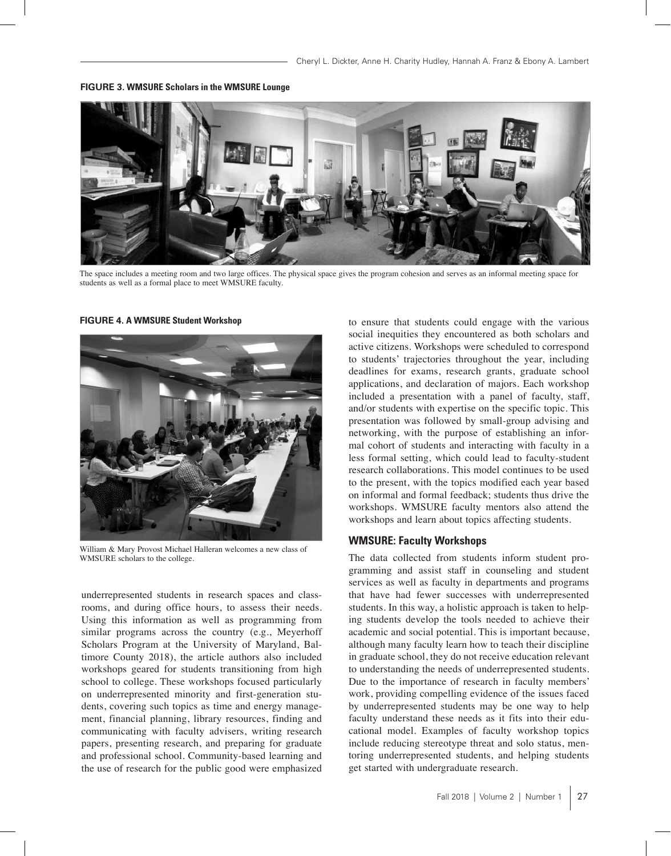

**Figure 3. WMSURE Scholars in the WMSURE Lounge**

The space includes a meeting room and two large offices. The physical space gives the program cohesion and serves as an informal meeting space for students as well as a formal place to meet WMSURE faculty.

**Figure 4. A WMSURE Student Workshop**



William & Mary Provost Michael Halleran welcomes a new class of WMSURE scholars to the college.

underrepresented students in research spaces and classrooms, and during office hours, to assess their needs. Using this information as well as programming from similar programs across the country (e.g., Meyerhoff Scholars Program at the University of Maryland, Baltimore County 2018), the article authors also included workshops geared for students transitioning from high school to college. These workshops focused particularly on underrepresented minority and first-generation students, covering such topics as time and energy management, financial planning, library resources, finding and communicating with faculty advisers, writing research papers, presenting research, and preparing for graduate and professional school. Community-based learning and the use of research for the public good were emphasized to ensure that students could engage with the various social inequities they encountered as both scholars and active citizens. Workshops were scheduled to correspond to students' trajectories throughout the year, including deadlines for exams, research grants, graduate school applications, and declaration of majors. Each workshop included a presentation with a panel of faculty, staff, and/or students with expertise on the specific topic. This presentation was followed by small-group advising and networking, with the purpose of establishing an informal cohort of students and interacting with faculty in a less formal setting, which could lead to faculty-student research collaborations. This model continues to be used to the present, with the topics modified each year based on informal and formal feedback; students thus drive the workshops. WMSURE faculty mentors also attend the workshops and learn about topics affecting students.

# **WMSURE: Faculty Workshops**

The data collected from students inform student programming and assist staff in counseling and student services as well as faculty in departments and programs that have had fewer successes with underrepresented students. In this way, a holistic approach is taken to helping students develop the tools needed to achieve their academic and social potential. This is important because, although many faculty learn how to teach their discipline in graduate school, they do not receive education relevant to understanding the needs of underrepresented students. Due to the importance of research in faculty members' work, providing compelling evidence of the issues faced by underrepresented students may be one way to help faculty understand these needs as it fits into their educational model. Examples of faculty workshop topics include reducing stereotype threat and solo status, mentoring underrepresented students, and helping students get started with undergraduate research.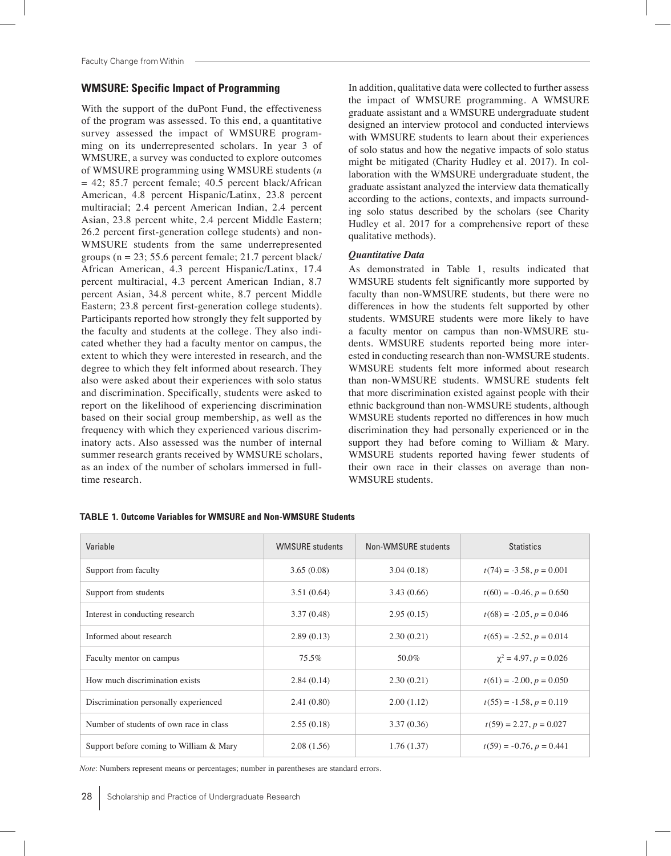#### **WMSURE: Specific Impact of Programming**

With the support of the duPont Fund, the effectiveness of the program was assessed. To this end, a quantitative survey assessed the impact of WMSURE programming on its underrepresented scholars. In year 3 of WMSURE, a survey was conducted to explore outcomes of WMSURE programming using WMSURE students (*n*  $= 42$ ; 85.7 percent female; 40.5 percent black/African American, 4.8 percent Hispanic/Latinx, 23.8 percent multiracial; 2.4 percent American Indian, 2.4 percent Asian, 23.8 percent white, 2.4 percent Middle Eastern; 26.2 percent first-generation college students) and non-WMSURE students from the same underrepresented groups ( $n = 23$ ; 55.6 percent female; 21.7 percent black/ African American, 4.3 percent Hispanic/Latinx, 17.4 percent multiracial, 4.3 percent American Indian, 8.7 percent Asian, 34.8 percent white, 8.7 percent Middle Eastern; 23.8 percent first-generation college students). Participants reported how strongly they felt supported by the faculty and students at the college. They also indicated whether they had a faculty mentor on campus, the extent to which they were interested in research, and the degree to which they felt informed about research. They also were asked about their experiences with solo status and discrimination. Specifically, students were asked to report on the likelihood of experiencing discrimination based on their social group membership, as well as the frequency with which they experienced various discriminatory acts. Also assessed was the number of internal summer research grants received by WMSURE scholars, as an index of the number of scholars immersed in fulltime research.

In addition, qualitative data were collected to further assess the impact of WMSURE programming. A WMSURE graduate assistant and a WMSURE undergraduate student designed an interview protocol and conducted interviews with WMSURE students to learn about their experiences of solo status and how the negative impacts of solo status might be mitigated (Charity Hudley et al. 2017). In collaboration with the WMSURE undergraduate student, the graduate assistant analyzed the interview data thematically according to the actions, contexts, and impacts surrounding solo status described by the scholars (see Charity Hudley et al. 2017 for a comprehensive report of these qualitative methods).

#### *Quantitative Data*

As demonstrated in Table 1, results indicated that WMSURE students felt significantly more supported by faculty than non-WMSURE students, but there were no differences in how the students felt supported by other students. WMSURE students were more likely to have a faculty mentor on campus than non-WMSURE students. WMSURE students reported being more interested in conducting research than non-WMSURE students. WMSURE students felt more informed about research than non-WMSURE students. WMSURE students felt that more discrimination existed against people with their ethnic background than non-WMSURE students, although WMSURE students reported no differences in how much discrimination they had personally experienced or in the support they had before coming to William & Mary. WMSURE students reported having fewer students of their own race in their classes on average than non-WMSURE students.

| Variable                                | <b>WMSURE</b> students | Non-WMSURE students | <b>Statistics</b>             |
|-----------------------------------------|------------------------|---------------------|-------------------------------|
| Support from faculty                    | 3.65(0.08)             | 3.04(0.18)          | $t(74) = -3.58, p = 0.001$    |
| Support from students                   | 3.51(0.64)             | 3.43(0.66)          | $t(60) = -0.46, p = 0.650$    |
| Interest in conducting research         | 3.37(0.48)             | 2.95(0.15)          | $t(68) = -2.05$ , $p = 0.046$ |
| Informed about research                 | 2.89(0.13)             | 2.30(0.21)          | $t(65) = -2.52, p = 0.014$    |
| Faculty mentor on campus                | $75.5\%$               | 50.0%               | $\chi^2 = 4.97, p = 0.026$    |
| How much discrimination exists          | 2.84(0.14)             | 2.30(0.21)          | $t(61) = -2.00, p = 0.050$    |
| Discrimination personally experienced   | 2.41 (0.80)            | 2.00(1.12)          | $t(55) = -1.58, p = 0.119$    |
| Number of students of own race in class | 2.55(0.18)             | 3.37(0.36)          | $t(59) = 2.27, p = 0.027$     |
| Support before coming to William & Mary | 2.08(1.56)             | 1.76(1.37)          | $t(59) = -0.76, p = 0.441$    |

#### **TABLE 1. Outcome Variables for WMSURE and Non-WMSURE Students**

*Note*: Numbers represent means or percentages; number in parentheses are standard errors.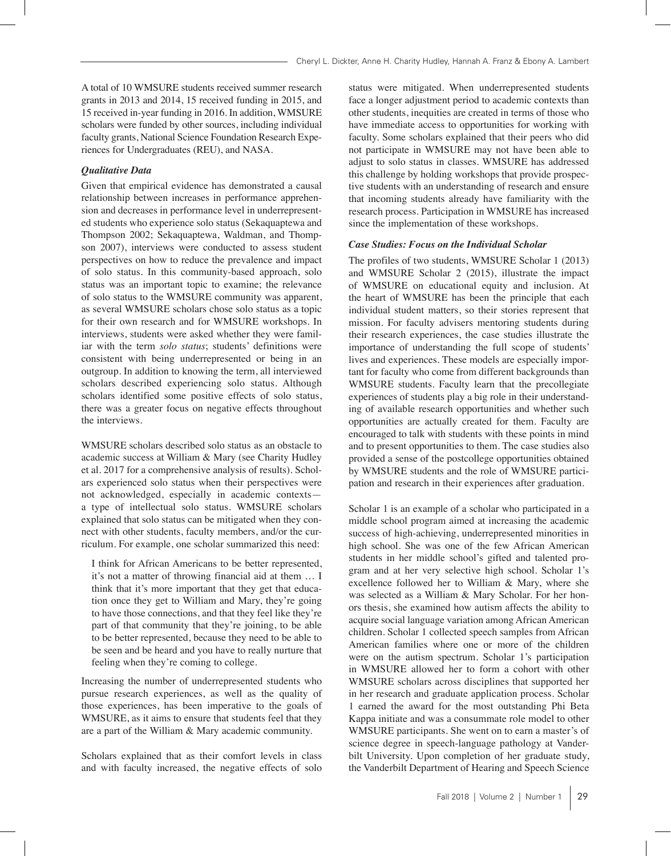A total of 10 WMSURE students received summer research grants in 2013 and 2014, 15 received funding in 2015, and 15 received in-year funding in 2016. In addition, WMSURE scholars were funded by other sources, including individual faculty grants, National Science Foundation Research Experiences for Undergraduates (REU), and NASA.

#### *Qualitative Data*

Given that empirical evidence has demonstrated a causal relationship between increases in performance apprehension and decreases in performance level in underrepresented students who experience solo status (Sekaquaptewa and Thompson 2002; Sekaquaptewa, Waldman, and Thompson 2007), interviews were conducted to assess student perspectives on how to reduce the prevalence and impact of solo status. In this community-based approach, solo status was an important topic to examine; the relevance of solo status to the WMSURE community was apparent, as several WMSURE scholars chose solo status as a topic for their own research and for WMSURE workshops. In interviews, students were asked whether they were familiar with the term *solo status*; students' definitions were consistent with being underrepresented or being in an outgroup. In addition to knowing the term, all interviewed scholars described experiencing solo status. Although scholars identified some positive effects of solo status, there was a greater focus on negative effects throughout the interviews.

WMSURE scholars described solo status as an obstacle to academic success at William & Mary (see Charity Hudley et al. 2017 for a comprehensive analysis of results). Scholars experienced solo status when their perspectives were not acknowledged, especially in academic contexts a type of intellectual solo status. WMSURE scholars explained that solo status can be mitigated when they connect with other students, faculty members, and/or the curriculum. For example, one scholar summarized this need:

 I think for African Americans to be better represented, it's not a matter of throwing financial aid at them … I think that it's more important that they get that education once they get to William and Mary, they're going to have those connections, and that they feel like they're part of that community that they're joining, to be able to be better represented, because they need to be able to be seen and be heard and you have to really nurture that feeling when they're coming to college.

Increasing the number of underrepresented students who pursue research experiences, as well as the quality of those experiences, has been imperative to the goals of WMSURE, as it aims to ensure that students feel that they are a part of the William & Mary academic community.

Scholars explained that as their comfort levels in class and with faculty increased, the negative effects of solo status were mitigated. When underrepresented students face a longer adjustment period to academic contexts than other students, inequities are created in terms of those who have immediate access to opportunities for working with faculty. Some scholars explained that their peers who did not participate in WMSURE may not have been able to adjust to solo status in classes. WMSURE has addressed this challenge by holding workshops that provide prospective students with an understanding of research and ensure that incoming students already have familiarity with the research process. Participation in WMSURE has increased since the implementation of these workshops.

#### *Case Studies: Focus on the Individual Scholar*

The profiles of two students, WMSURE Scholar 1 (2013) and WMSURE Scholar 2 (2015), illustrate the impact of WMSURE on educational equity and inclusion. At the heart of WMSURE has been the principle that each individual student matters, so their stories represent that mission. For faculty advisers mentoring students during their research experiences, the case studies illustrate the importance of understanding the full scope of students' lives and experiences. These models are especially important for faculty who come from different backgrounds than WMSURE students. Faculty learn that the precollegiate experiences of students play a big role in their understanding of available research opportunities and whether such opportunities are actually created for them. Faculty are encouraged to talk with students with these points in mind and to present opportunities to them. The case studies also provided a sense of the postcollege opportunities obtained by WMSURE students and the role of WMSURE participation and research in their experiences after graduation.

Scholar 1 is an example of a scholar who participated in a middle school program aimed at increasing the academic success of high-achieving, underrepresented minorities in high school. She was one of the few African American students in her middle school's gifted and talented program and at her very selective high school. Scholar 1's excellence followed her to William & Mary, where she was selected as a William & Mary Scholar. For her honors thesis, she examined how autism affects the ability to acquire social language variation among African American children. Scholar 1 collected speech samples from African American families where one or more of the children were on the autism spectrum. Scholar 1's participation in WMSURE allowed her to form a cohort with other WMSURE scholars across disciplines that supported her in her research and graduate application process. Scholar 1 earned the award for the most outstanding Phi Beta Kappa initiate and was a consummate role model to other WMSURE participants. She went on to earn a master's of science degree in speech-language pathology at Vanderbilt University. Upon completion of her graduate study, the Vanderbilt Department of Hearing and Speech Science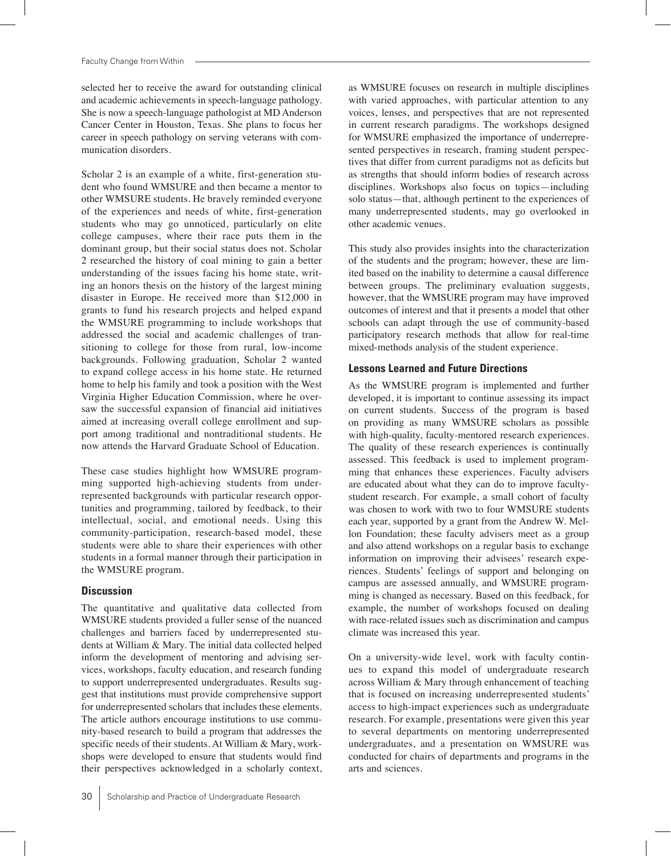selected her to receive the award for outstanding clinical and academic achievements in speech-language pathology. She is now a speech-language pathologist at MD Anderson Cancer Center in Houston, Texas. She plans to focus her career in speech pathology on serving veterans with communication disorders.

Scholar 2 is an example of a white, first-generation student who found WMSURE and then became a mentor to other WMSURE students. He bravely reminded everyone of the experiences and needs of white, first-generation students who may go unnoticed, particularly on elite college campuses, where their race puts them in the dominant group, but their social status does not. Scholar 2 researched the history of coal mining to gain a better understanding of the issues facing his home state, writing an honors thesis on the history of the largest mining disaster in Europe. He received more than \$12,000 in grants to fund his research projects and helped expand the WMSURE programming to include workshops that addressed the social and academic challenges of transitioning to college for those from rural, low-income backgrounds. Following graduation, Scholar 2 wanted to expand college access in his home state. He returned home to help his family and took a position with the West Virginia Higher Education Commission, where he oversaw the successful expansion of financial aid initiatives aimed at increasing overall college enrollment and support among traditional and nontraditional students. He now attends the Harvard Graduate School of Education.

These case studies highlight how WMSURE programming supported high-achieving students from underrepresented backgrounds with particular research opportunities and programming, tailored by feedback, to their intellectual, social, and emotional needs. Using this community-participation, research-based model, these students were able to share their experiences with other students in a formal manner through their participation in the WMSURE program.

#### **Discussion**

The quantitative and qualitative data collected from WMSURE students provided a fuller sense of the nuanced challenges and barriers faced by underrepresented students at William & Mary. The initial data collected helped inform the development of mentoring and advising services, workshops, faculty education, and research funding to support underrepresented undergraduates. Results suggest that institutions must provide comprehensive support for underrepresented scholars that includes these elements. The article authors encourage institutions to use community-based research to build a program that addresses the specific needs of their students. At William & Mary, workshops were developed to ensure that students would find their perspectives acknowledged in a scholarly context, as WMSURE focuses on research in multiple disciplines with varied approaches, with particular attention to any voices, lenses, and perspectives that are not represented in current research paradigms. The workshops designed for WMSURE emphasized the importance of underrepresented perspectives in research, framing student perspectives that differ from current paradigms not as deficits but as strengths that should inform bodies of research across disciplines. Workshops also focus on topics—including solo status—that, although pertinent to the experiences of many underrepresented students, may go overlooked in other academic venues.

This study also provides insights into the characterization of the students and the program; however, these are limited based on the inability to determine a causal difference between groups. The preliminary evaluation suggests, however, that the WMSURE program may have improved outcomes of interest and that it presents a model that other schools can adapt through the use of community-based participatory research methods that allow for real-time mixed-methods analysis of the student experience.

### **Lessons Learned and Future Directions**

As the WMSURE program is implemented and further developed, it is important to continue assessing its impact on current students. Success of the program is based on providing as many WMSURE scholars as possible with high-quality, faculty-mentored research experiences. The quality of these research experiences is continually assessed. This feedback is used to implement programming that enhances these experiences. Faculty advisers are educated about what they can do to improve facultystudent research. For example, a small cohort of faculty was chosen to work with two to four WMSURE students each year, supported by a grant from the Andrew W. Mellon Foundation; these faculty advisers meet as a group and also attend workshops on a regular basis to exchange information on improving their advisees' research experiences. Students' feelings of support and belonging on campus are assessed annually, and WMSURE programming is changed as necessary. Based on this feedback, for example, the number of workshops focused on dealing with race-related issues such as discrimination and campus climate was increased this year.

On a university-wide level, work with faculty continues to expand this model of undergraduate research across William & Mary through enhancement of teaching that is focused on increasing underrepresented students' access to high-impact experiences such as undergraduate research. For example, presentations were given this year to several departments on mentoring underrepresented undergraduates, and a presentation on WMSURE was conducted for chairs of departments and programs in the arts and sciences.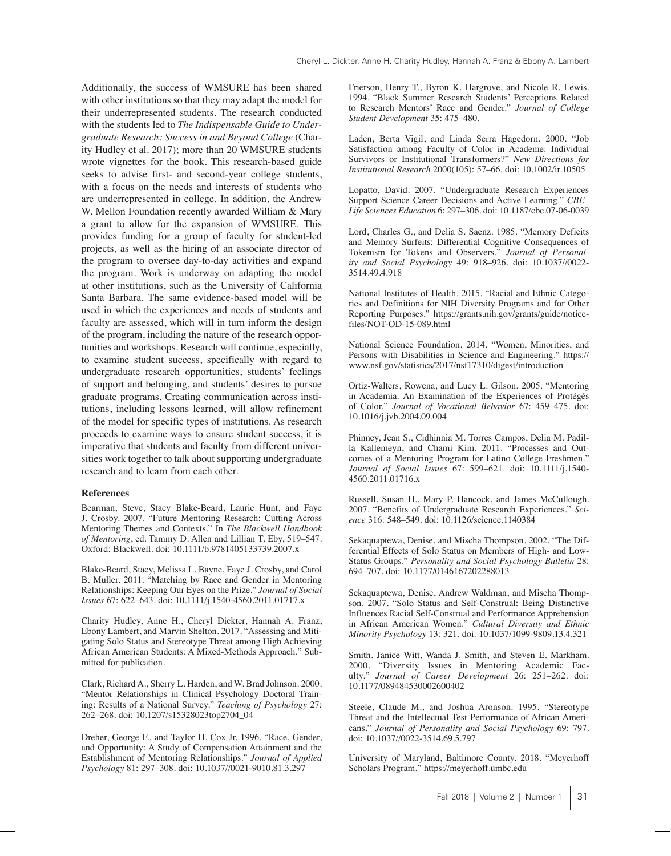Cheryl L. Dickter, Anne H. Charity Hudley, Hannah A. Franz & Ebony A. Lambert

Additionally, the success of WMSURE has been shared with other institutions so that they may adapt the model for their underrepresented students. The research conducted with the students led to *The Indispensable Guide to Undergraduate Research: Success in and Beyond College* (Charity Hudley et al. 2017); more than 20 WMSURE students wrote vignettes for the book. This research-based guide seeks to advise first- and second-year college students, with a focus on the needs and interests of students who are underrepresented in college. In addition, the Andrew W. Mellon Foundation recently awarded William & Mary a grant to allow for the expansion of WMSURE. This provides funding for a group of faculty for student-led projects, as well as the hiring of an associate director of the program to oversee day-to-day activities and expand the program. Work is underway on adapting the model at other institutions, such as the University of California Santa Barbara. The same evidence-based model will be used in which the experiences and needs of students and faculty are assessed, which will in turn inform the design of the program, including the nature of the research opportunities and workshops. Research will continue, especially, to examine student success, specifically with regard to undergraduate research opportunities, students' feelings of support and belonging, and students' desires to pursue graduate programs. Creating communication across institutions, including lessons learned, will allow refinement of the model for specific types of institutions. As research proceeds to examine ways to ensure student success, it is imperative that students and faculty from different universities work together to talk about supporting undergraduate research and to learn from each other.

#### **References**

Bearman, Steve, Stacy Blake-Beard, Laurie Hunt, and Faye J. Crosby. 2007. "Future Mentoring Research: Cutting Across Mentoring Themes and Contexts." In *The Blackwell Handbook of Mentoring*, ed. Tammy D. Allen and Lillian T. Eby, 519–547. Oxford: Blackwell. doi: 10.1111/b.9781405133739.2007.x

Blake-Beard, Stacy, Melissa L. Bayne, Faye J. Crosby, and Carol B. Muller. 2011. "Matching by Race and Gender in Mentoring Relationships: Keeping Our Eyes on the Prize." *Journal of Social Issues* 67: 622–643. doi: 10.1111/j.1540-4560.2011.01717.x

Charity Hudley, Anne H., Cheryl Dickter, Hannah A. Franz, Ebony Lambert, and Marvin Shelton. 2017. "Assessing and Mitigating Solo Status and Stereotype Threat among High Achieving African American Students: A Mixed-Methods Approach." Submitted for publication.

Clark, Richard A., Sherry L. Harden, and W. Brad Johnson. 2000. "Mentor Relationships in Clinical Psychology Doctoral Training: Results of a National Survey." *Teaching of Psychology* 27: 262–268. doi: 10.1207/s15328023top2704\_04

Dreher, George F., and Taylor H. Cox Jr. 1996. "Race, Gender, and Opportunity: A Study of Compensation Attainment and the Establishment of Mentoring Relationships." *Journal of Applied Psychology* 81: 297–308. doi: 10.1037//0021-9010.81.3.297

Frierson, Henry T., Byron K. Hargrove, and Nicole R. Lewis. 1994. "Black Summer Research Students' Perceptions Related to Research Mentors' Race and Gender." *Journal of College Student Development* 35: 475–480.

Laden, Berta Vigil, and Linda Serra Hagedorn. 2000. "Job Satisfaction among Faculty of Color in Academe: Individual Survivors or Institutional Transformers?" *New Directions for Institutional Research* 2000(105): 57–66. doi: 10.1002/ir.10505

Lopatto, David. 2007. "Undergraduate Research Experiences Support Science Career Decisions and Active Learning." *CBE– Life Sciences Education* 6: 297–306. doi: 10.1187/cbe.07-06-0039

Lord, Charles G., and Delia S. Saenz. 1985. "Memory Deficits and Memory Surfeits: Differential Cognitive Consequences of Tokenism for Tokens and Observers." *Journal of Personality and Social Psychology* 49: 918–926. doi: 10.1037//0022- 3514.49.4.918

National Institutes of Health. 2015. "Racial and Ethnic Categories and Definitions for NIH Diversity Programs and for Other Reporting Purposes." https://grants.nih.gov/grants/guide/noticefiles/NOT-OD-15-089.html

National Science Foundation. 2014. "Women, Minorities, and Persons with Disabilities in Science and Engineering." https:// www.nsf.gov/statistics/2017/nsf17310/digest/introduction

Ortiz-Walters, Rowena, and Lucy L. Gilson. 2005. "Mentoring in Academia: An Examination of the Experiences of Protégés of Color." *Journal of Vocational Behavior* 67: 459–475. doi: 10.1016/j.jvb.2004.09.004

Phinney, Jean S., Cidhinnia M. Torres Campos, Delia M. Padilla Kallemeyn, and Chami Kim. 2011. "Processes and Outcomes of a Mentoring Program for Latino College Freshmen." *Journal of Social Issues* 67: 599–621. doi: 10.1111/j.1540- 4560.2011.01716.x

Russell, Susan H., Mary P. Hancock, and James McCullough. 2007. "Benefits of Undergraduate Research Experiences." *Science* 316: 548–549. doi: 10.1126/science.1140384

Sekaquaptewa, Denise, and Mischa Thompson. 2002. "The Differential Effects of Solo Status on Members of High- and Low-Status Groups." *Personality and Social Psychology Bulletin* 28: 694–707. doi: 10.1177/0146167202288013

Sekaquaptewa, Denise, Andrew Waldman, and Mischa Thompson. 2007. "Solo Status and Self-Construal: Being Distinctive Influences Racial Self-Construal and Performance Apprehension in African American Women." *Cultural Diversity and Ethnic Minority Psychology* 13: 321. doi: 10.1037/1099-9809.13.4.321

Smith, Janice Witt, Wanda J. Smith, and Steven E. Markham. 2000. "Diversity Issues in Mentoring Academic Faculty." *Journal of Career Development* 26: 251–262. doi: 10.1177/089484530002600402

Steele, Claude M., and Joshua Aronson. 1995. "Stereotype Threat and the Intellectual Test Performance of African Americans." *Journal of Personality and Social Psychology* 69: 797. doi: 10.1037//0022-3514.69.5.797

University of Maryland, Baltimore County. 2018. "Meyerhoff Scholars Program." https://meyerhoff.umbc.edu